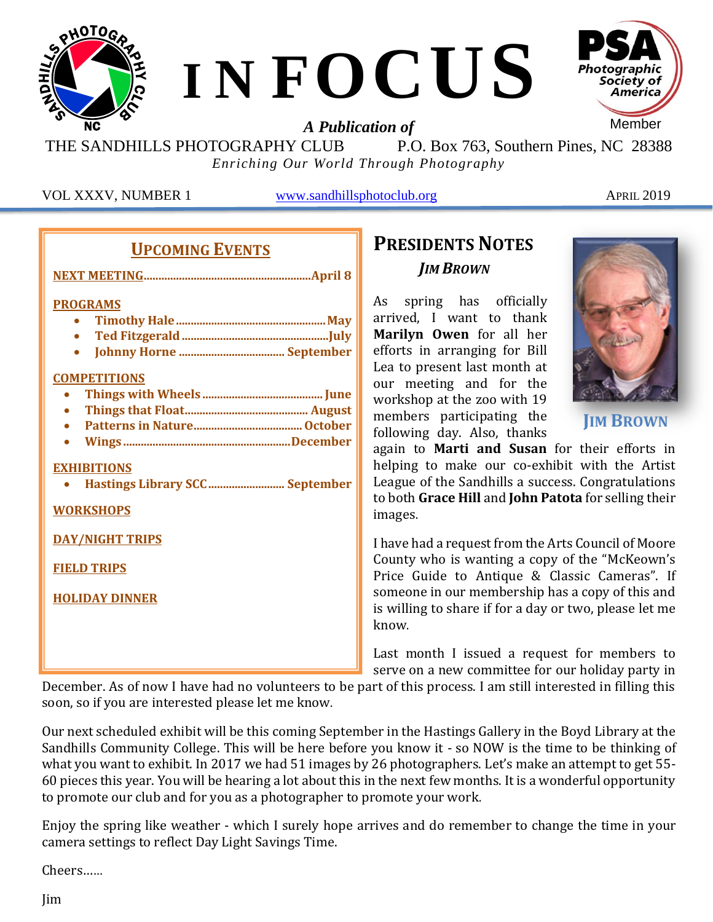

THE SANDHILLS PHOTOGRAPHY CLUB P.O. Box 763, Southern Pines, NC 28388 *Enriching Our World Through Photography*

VOL XXXV, NUMBER 1 [www.sandhillsphotoclub.org](http://www.sandhillsphotoclub.org/) APRIL 2019

#### **UPCOMING EVENTS**

| <b>PROGRAMS</b> |  |
|-----------------|--|
|                 |  |
|                 |  |
|                 |  |

#### **COMPETITIONS**

- **Things with Wheels .........................................June**
- **Things that Float.......................................... August**
- **Patterns in Nature.....................................October**
- **Wings .........................................................December**

#### **EXHIBITIONS**

• **Hastings Library SCC.......................... September**

**WORKSHOPS**

**DAY/NIGHT TRIPS**

**FIELD TRIPS**

**HOLIDAY DINNER**

# **PRESIDENTS NOTES** *JIM BROWN*

As spring has officially arrived, I want to thank **Marilyn Owen** for all her efforts in arranging for Bill Lea to present last month at our meeting and for the workshop at the zoo with 19 members participating the following day. Also, thanks



**JIM BROWN**

again to **Marti and Susan** for their efforts in helping to make our co-exhibit with the Artist League of the Sandhills a success. Congratulations to both **Grace Hill** and **John Patota** for selling their images.

I have had a request from the Arts Council of Moore County who is wanting a copy of the "McKeown's Price Guide to Antique & Classic Cameras". If someone in our membership has a copy of this and is willing to share if for a day or two, please let me know.

Last month I issued a request for members to serve on a new committee for our holiday party in

December. As of now I have had no volunteers to be part of this process. I am still interested in filling this soon, so if you are interested please let me know.

Our next scheduled exhibit will be this coming September in the Hastings Gallery in the Boyd Library at the Sandhills Community College. This will be here before you know it - so NOW is the time to be thinking of what you want to exhibit. In 2017 we had 51 images by 26 photographers. Let's make an attempt to get 55- 60 pieces this year. You will be hearing a lot about this in the next few months. It is a wonderful opportunity to promote our club and for you as a photographer to promote your work.

Enjoy the spring like weather - which I surely hope arrives and do remember to change the time in your camera settings to reflect Day Light Savings Time.

Cheers……

Jim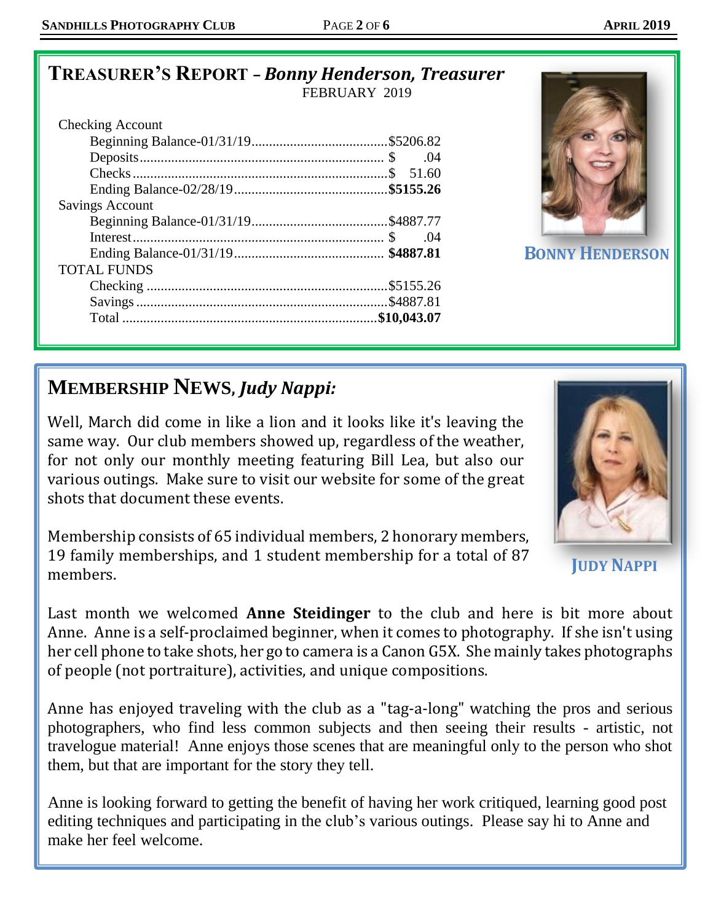| <b>Checking Account</b> |           |
|-------------------------|-----------|
|                         |           |
|                         | .04       |
|                         | 51.60     |
|                         |           |
| <b>Savings Account</b>  |           |
|                         |           |
|                         | .04       |
|                         |           |
| <b>TOTAL FUNDS</b>      |           |
|                         |           |
|                         | \$4887.81 |
|                         |           |
|                         |           |



**BONNY HENDERSON** 

# **MEMBERSHIP NEWS,** *Judy Nappi:*

Well, March did come in like a lion and it looks like it's leaving the same way. Our club members showed up, regardless of the weather, for not only our monthly meeting featuring Bill Lea, but also our various outings. Make sure to visit our website for some of the great shots that document these events.

Membership consists of 65 individual members, 2 honorary members, 19 family memberships, and 1 student membership for a total of 87 members.

Last month we welcomed **Anne Steidinger** to the club and here is bit more about Anne. Anne is a self-proclaimed beginner, when it comes to photography. If she isn't using her cell phone to take shots, her go to camera is a Canon G5X. She mainly takes photographs of people (not portraiture), activities, and unique compositions.

Anne has enjoyed traveling with the club as a "tag-a-long" watching the pros and serious photographers, who find less common subjects and then seeing their results - artistic, not travelogue material! Anne enjoys those scenes that are meaningful only to the person who shot them, but that are important for the story they tell.

Anne is looking forward to getting the benefit of having her work critiqued, learning good post editing techniques and participating in the club's various outings. Please say hi to Anne and make her feel welcome.



**JUDY NAPPI**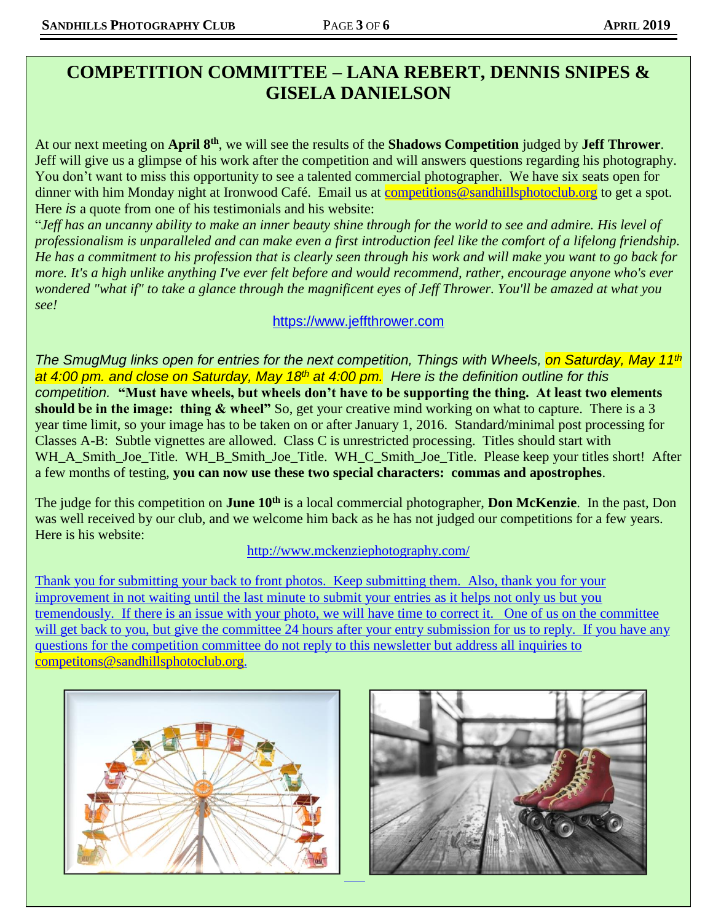## **COMPETITION COMMITTEE – LANA REBERT, DENNIS SNIPES & GISELA DANIELSON**

At our next meeting on **April 8th**, we will see the results of the **Shadows Competition** judged by **Jeff Thrower**. Jeff will give us a glimpse of his work after the competition and will answers questions regarding his photography. You don't want to miss this opportunity to see a talented commercial photographer. We have six seats open for dinner with him Monday night at Ironwood Café. Email us at [competitions@sandhillsphotoclub.org](mailto:competitions@sandhillsphotoclub.org) to get a spot. Here *is* a quote from one of his testimonials and his website:

"*Jeff has an uncanny ability to make an inner beauty shine through for the world to see and admire. His level of professionalism is unparalleled and can make even a first introduction feel like the comfort of a lifelong friendship. He has a commitment to his profession that is clearly seen through his work and will make you want to go back for more. It's a high unlike anything I've ever felt before and would recommend, rather, encourage anyone who's ever wondered "what if" to take a glance through the magnificent eyes of Jeff Thrower. You'll be amazed at what you see!*

#### [https://www.jeffthrower.com](https://www.jeffthrower.com/)

*The SmugMug links open for entries for the next competition, Things with Wheels, on Saturday, May 11th at 4:00 pm. and close on Saturday, May 18th at 4:00 pm. Here is the definition outline for this competition.* **"Must have wheels, but wheels don't have to be supporting the thing. At least two elements should be in the image: thing & wheel"** So, get your creative mind working on what to capture. There is a 3 year time limit, so your image has to be taken on or after January 1, 2016. Standard/minimal post processing for Classes A-B: Subtle vignettes are allowed. Class C is unrestricted processing. Titles should start with WH\_A\_Smith\_Joe\_Title. WH\_B\_Smith\_Joe\_Title. WH\_C\_Smith\_Joe\_Title. Please keep your titles short! After a few months of testing, **you can now use these two special characters: commas and apostrophes**.

The judge for this competition on **June 10th** is a local commercial photographer, **Don McKenzie**. In the past, Don was well received by our club, and we welcome him back as he has not judged our competitions for a few years. Here is his website:

#### <http://www.mckenziephotography.com/>

Thank you for submitting your back to front photos. Keep submitting them. Also, thank you for your improvement in not waiting until the last minute to submit your entries as it helps not only us but you tremendously. If there is an issue with your photo, we will have time to correct it. One of us on the committee will get back to you, but give the committee 24 hours after your entry submission for us to reply. If you have any questions for the competition committee do not reply to this newsletter but address all inquiries to [competitons@sandhillsphotoclub.org.](mailto:competitons@sandhillsphotoclub.org)



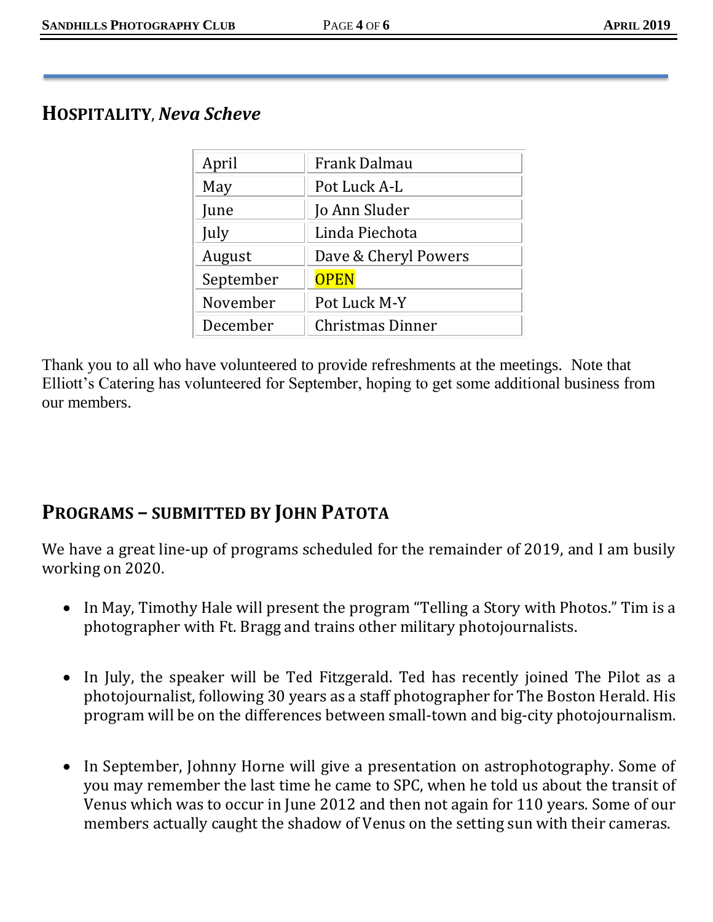## **HOSPITALITY**, *Neva Scheve*

| April     | Frank Dalmau            |
|-----------|-------------------------|
| May       | Pot Luck A-L            |
| June      | Jo Ann Sluder           |
| July      | Linda Piechota          |
| August    | Dave & Cheryl Powers    |
| September | <b>OPEN</b>             |
| November  | Pot Luck M-Y            |
| December  | <b>Christmas Dinner</b> |

Thank you to all who have volunteered to provide refreshments at the meetings. Note that Elliott's Catering has volunteered for September, hoping to get some additional business from our members.

# **PROGRAMS – SUBMITTED BY JOHN PATOTA**

We have a great line-up of programs scheduled for the remainder of 2019, and I am busily working on 2020.

- In May, Timothy Hale will present the program "Telling a Story with Photos." Tim is a photographer with Ft. Bragg and trains other military photojournalists.
- In July, the speaker will be Ted Fitzgerald. Ted has recently joined The Pilot as a photojournalist, following 30 years as a staff photographer for The Boston Herald. His program will be on the differences between small-town and big-city photojournalism.
- In September, Johnny Horne will give a presentation on astrophotography. Some of you may remember the last time he came to SPC, when he told us about the transit of Venus which was to occur in June 2012 and then not again for 110 years. Some of our members actually caught the shadow of Venus on the setting sun with their cameras.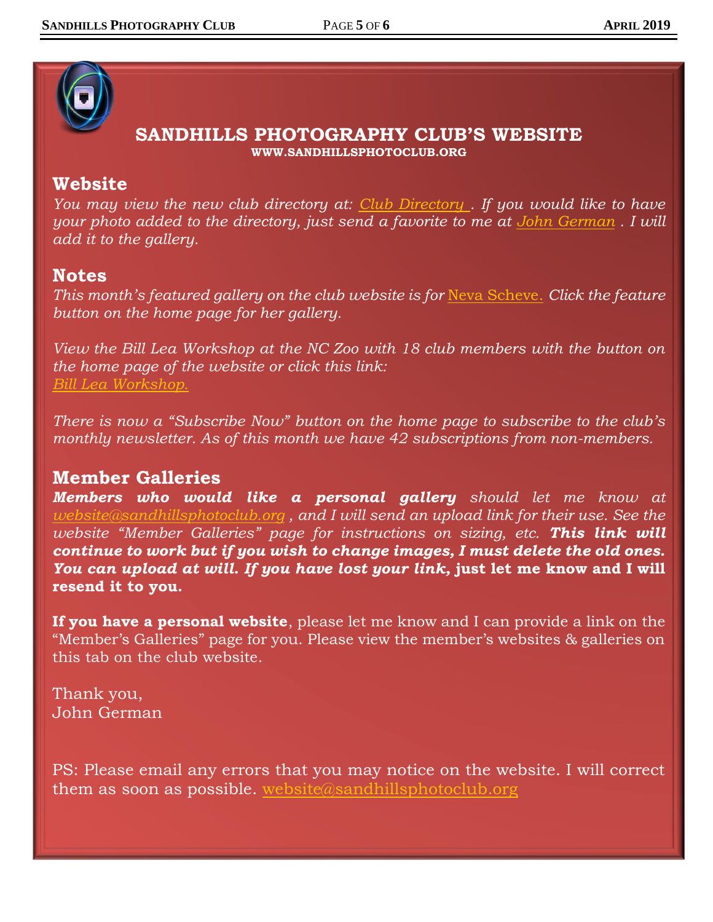

### **SANDHILLS PHOTOGRAPHY CLUB'S WEBSITE WWW.SANDHILLSPHOTOCLUB.ORG**

### **Website**

*You may view the new club directory at: [Club Directory](https://sandhillsphotoclub.smugmug.com/Site-and-Logo-Images/Club-Members-Portrait-Collage/) . If you would like to have your photo added to the directory, just send a favorite to me at [John German](mailto:jojegerman@outlook.com) . I will add it to the gallery.*

### **Notes**

*This month's featured gallery on the club website is for* [Neva Scheve.](https://sandhillsphotoclub.smugmug.com/Member-Galleries/Neva-Scheve/Photography-by-Neva-Scheve) *Click the feature button on the home page for her gallery.* 

*View the Bill Lea Workshop at the NC Zoo with 18 club members with the button on the home page of the website or click this link: [Bill Lea Workshop.](https://sandhillsphotoclub.smugmug.com/Workshops/2019-NC-Zoo-Workshop-with-Bill-Lea/2019-NC-Zoo-Workshop-with-Bill-Lea/)*

*There is now a "Subscribe Now" button on the home page to subscribe to the club's monthly newsletter. As of this month we have 42 subscriptions from non-members.* 

### **Member Galleries**

*Members who would like a personal gallery should let me know at [website@sandhillsphotoclub.org](mailto:website@sandhillsphotoclub.org) , and I will send an upload link for their use. See the website "Member Galleries" page for instructions on sizing, etc. This link will continue to work but if you wish to change images, I must delete the old ones. You can upload at will. If you have lost your link,* **just let me know and I will resend it to you.**

**If you have a personal website**, please let me know and I can provide a link on the "Member's Galleries" page for you. Please view the member's websites & galleries on this tab on the club website.

Thank you, John German

PS: Please email any errors that you may notice on the website. I will correct them as soon as possible. [website@sandhillsphotoclub.org](mailto:website@sandhillsphotoclub.org)